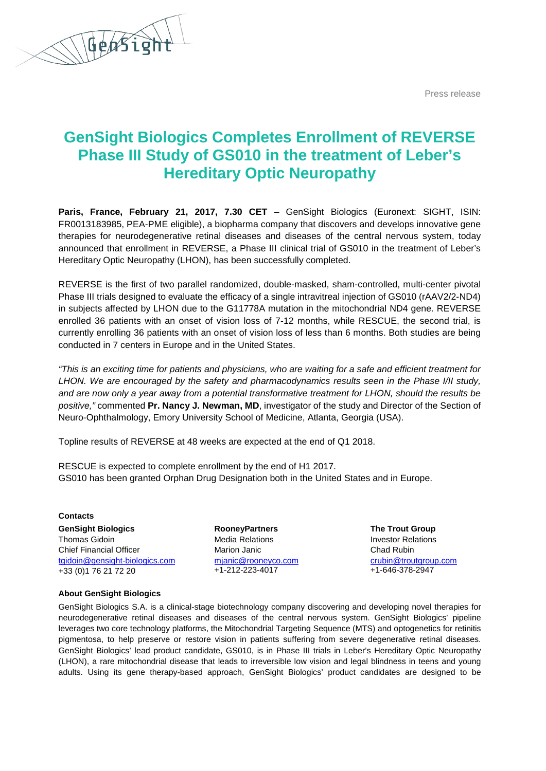Press release



## **GenSight Biologics Completes Enrollment of REVERSE Phase III Study of GS010 in the treatment of Leber's Hereditary Optic Neuropathy**

**Paris, France, February 21, 2017, 7.30 CET** – GenSight Biologics (Euronext: SIGHT, ISIN: FR0013183985, PEA-PME eligible), a biopharma company that discovers and develops innovative gene therapies for neurodegenerative retinal diseases and diseases of the central nervous system, today announced that enrollment in REVERSE, a Phase III clinical trial of GS010 in the treatment of Leber's Hereditary Optic Neuropathy (LHON), has been successfully completed.

REVERSE is the first of two parallel randomized, double-masked, sham-controlled, multi-center pivotal Phase III trials designed to evaluate the efficacy of a single intravitreal injection of GS010 (rAAV2/2-ND4) in subjects affected by LHON due to the G11778A mutation in the mitochondrial ND4 gene. REVERSE enrolled 36 patients with an onset of vision loss of 7-12 months, while RESCUE, the second trial, is currently enrolling 36 patients with an onset of vision loss of less than 6 months. Both studies are being conducted in 7 centers in Europe and in the United States.

*"This is an exciting time for patients and physicians, who are waiting for a safe and efficient treatment for*  LHON. We are encouraged by the safety and pharmacodynamics results seen in the Phase I/II study, *and are now only a year away from a potential transformative treatment for LHON, should the results be positive,"* commented **Pr. Nancy J. Newman, MD**, investigator of the study and Director of the Section of Neuro-Ophthalmology, Emory University School of Medicine, Atlanta, Georgia (USA).

Topline results of REVERSE at 48 weeks are expected at the end of Q1 2018.

RESCUE is expected to complete enrollment by the end of H1 2017. GS010 has been granted Orphan Drug Designation both in the United States and in Europe.

**Contacts GenSight Biologics** Thomas Gidoin Chief Financial Officer [tgidoin@gensight-biologics.com](mailto:tgidoin@gensight-biologics.com) +33 (0)1 76 21 72 20

**RooneyPartners** Media Relations Marion Janic [mjanic@rooneyco.com](mailto:mjanic@rooneyco.com) +1-212-223-4017

**The Trout Group** Investor Relations Chad Rubin [crubin@troutgroup.com](mailto:crubin@troutgroup.com) +1-646-378-2947

## **About GenSight Biologics**

GenSight Biologics S.A. is a clinical-stage biotechnology company discovering and developing novel therapies for neurodegenerative retinal diseases and diseases of the central nervous system. GenSight Biologics' pipeline leverages two core technology platforms, the Mitochondrial Targeting Sequence (MTS) and optogenetics for retinitis pigmentosa, to help preserve or restore vision in patients suffering from severe degenerative retinal diseases. GenSight Biologics' lead product candidate, GS010, is in Phase III trials in Leber's Hereditary Optic Neuropathy (LHON), a rare mitochondrial disease that leads to irreversible low vision and legal blindness in teens and young adults. Using its gene therapy-based approach, GenSight Biologics' product candidates are designed to be